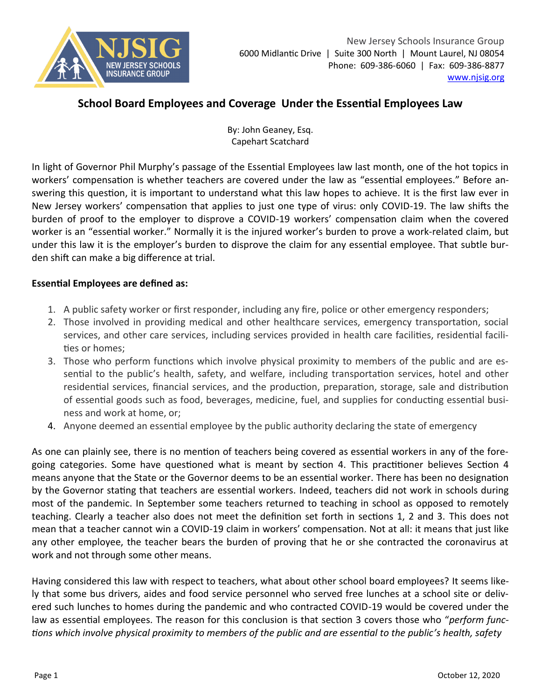

## **School Board Employees and Coverage Under the Essential Employees Law**

By: John Geaney, Esq. Capehart Scatchard

In light of Governor Phil Murphy's passage of the Essential Employees law last month, one of the hot topics in workers' compensation is whether teachers are covered under the law as "essential employees." Before answering this question, it is important to understand what this law hopes to achieve. It is the first law ever in New Jersey workers' compensation that applies to just one type of virus: only COVID-19. The law shifts the burden of proof to the employer to disprove a COVID-19 workers' compensation claim when the covered worker is an "essential worker." Normally it is the injured worker's burden to prove a work-related claim, but under this law it is the employer's burden to disprove the claim for any essential employee. That subtle burden shift can make a big difference at trial.

## **Essential Employees are defined as:**

- 1. A public safety worker or first responder, including any fire, police or other emergency responders;
- 2. Those involved in providing medical and other healthcare services, emergency transportation, social services, and other care services, including services provided in health care facilities, residential facilities or homes;
- 3. Those who perform functions which involve physical proximity to members of the public and are essential to the public's health, safety, and welfare, including transportation services, hotel and other residential services, financial services, and the production, preparation, storage, sale and distribution of essential goods such as food, beverages, medicine, fuel, and supplies for conducting essential business and work at home, or;
- 4. Anyone deemed an essential employee by the public authority declaring the state of emergency

As one can plainly see, there is no mention of teachers being covered as essential workers in any of the foregoing categories. Some have questioned what is meant by section 4. This practitioner believes Section 4 means anyone that the State or the Governor deems to be an essential worker. There has been no designation by the Governor stating that teachers are essential workers. Indeed, teachers did not work in schools during most of the pandemic. In September some teachers returned to teaching in school as opposed to remotely teaching. Clearly a teacher also does not meet the definition set forth in sections 1, 2 and 3. This does not mean that a teacher cannot win a COVID-19 claim in workers' compensation. Not at all: it means that just like any other employee, the teacher bears the burden of proving that he or she contracted the coronavirus at work and not through some other means.

Having considered this law with respect to teachers, what about other school board employees? It seems likely that some bus drivers, aides and food service personnel who served free lunches at a school site or delivered such lunches to homes during the pandemic and who contracted COVID-19 would be covered under the law as essential employees. The reason for this conclusion is that section 3 covers those who "*perform functions which involve physical proximity to members of the public and are essential to the public's health, safety*